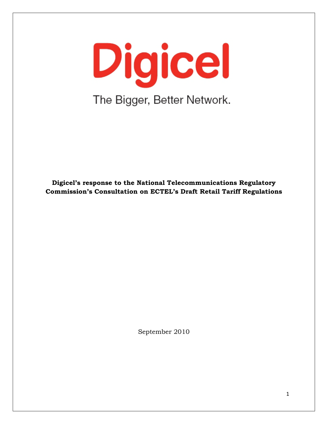Digicel The Bigger, Better Network.

**Digicel's response to the National Telecommunications Regulatory Commission's Consultation on ECTEL's Draft Retail Tariff Regulations**

September 2010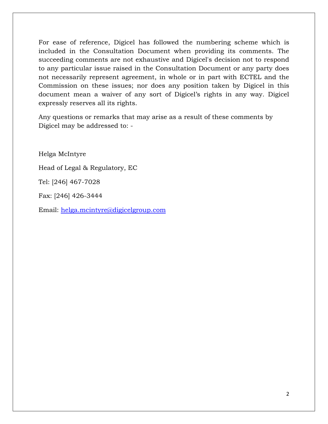For ease of reference, Digicel has followed the numbering scheme which is included in the Consultation Document when providing its comments. The succeeding comments are not exhaustive and Digicel's decision not to respond to any particular issue raised in the Consultation Document or any party does not necessarily represent agreement, in whole or in part with ECTEL and the Commission on these issues; nor does any position taken by Digicel in this document mean a waiver of any sort of Digicel's rights in any way. Digicel expressly reserves all its rights.

Any questions or remarks that may arise as a result of these comments by Digicel may be addressed to: -

Helga McIntyre

Head of Legal & Regulatory, EC

Tel: [246] 467-7028

Fax: [246] 426-3444

Email: [helga.mcintyre@digicelgroup.com](mailto:helga.mcintyre@digicelgroup.com)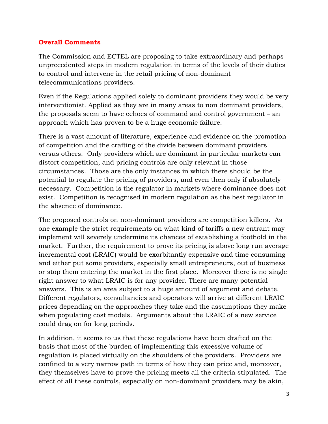## **Overall Comments**

The Commission and ECTEL are proposing to take extraordinary and perhaps unprecedented steps in modern regulation in terms of the levels of their duties to control and intervene in the retail pricing of non-dominant telecommunications providers.

Even if the Regulations applied solely to dominant providers they would be very interventionist. Applied as they are in many areas to non dominant providers, the proposals seem to have echoes of command and control government – an approach which has proven to be a huge economic failure.

There is a vast amount of literature, experience and evidence on the promotion of competition and the crafting of the divide between dominant providers versus others. Only providers which are dominant in particular markets can distort competition, and pricing controls are only relevant in those circumstances. Those are the only instances in which there should be the potential to regulate the pricing of providers, and even then only if absolutely necessary. Competition is the regulator in markets where dominance does not exist. Competition is recognised in modern regulation as the best regulator in the absence of dominance.

The proposed controls on non-dominant providers are competition killers. As one example the strict requirements on what kind of tariffs a new entrant may implement will severely undermine its chances of establishing a foothold in the market. Further, the requirement to prove its pricing is above long run average incremental cost (LRAIC) would be exorbitantly expensive and time consuming and either put some providers, especially small entrepreneurs, out of business or stop them entering the market in the first place. Moreover there is no single right answer to what LRAIC is for any provider. There are many potential answers. This is an area subject to a huge amount of argument and debate. Different regulators, consultancies and operators will arrive at different LRAIC prices depending on the approaches they take and the assumptions they make when populating cost models. Arguments about the LRAIC of a new service could drag on for long periods.

In addition, it seems to us that these regulations have been drafted on the basis that most of the burden of implementing this excessive volume of regulation is placed virtually on the shoulders of the providers. Providers are confined to a very narrow path in terms of how they can price and, moreover, they themselves have to prove the pricing meets all the criteria stipulated. The effect of all these controls, especially on non-dominant providers may be akin,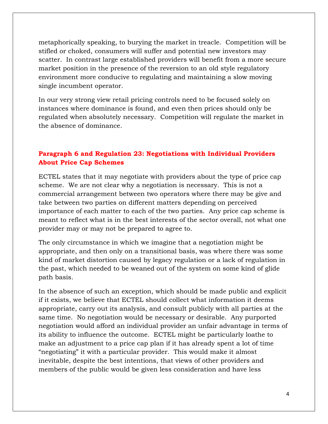metaphorically speaking, to burying the market in treacle. Competition will be stifled or choked, consumers will suffer and potential new investors may scatter. In contrast large established providers will benefit from a more secure market position in the presence of the reversion to an old style regulatory environment more conducive to regulating and maintaining a slow moving single incumbent operator.

In our very strong view retail pricing controls need to be focused solely on instances where dominance is found, and even then prices should only be regulated when absolutely necessary. Competition will regulate the market in the absence of dominance.

# **Paragraph 6 and Regulation 23: Negotiations with Individual Providers About Price Cap Schemes**

ECTEL states that it may negotiate with providers about the type of price cap scheme. We are not clear why a negotiation is necessary. This is not a commercial arrangement between two operators where there may be give and take between two parties on different matters depending on perceived importance of each matter to each of the two parties. Any price cap scheme is meant to reflect what is in the best interests of the sector overall, not what one provider may or may not be prepared to agree to.

The only circumstance in which we imagine that a negotiation might be appropriate, and then only on a transitional basis, was where there was some kind of market distortion caused by legacy regulation or a lack of regulation in the past, which needed to be weaned out of the system on some kind of glide path basis.

In the absence of such an exception, which should be made public and explicit if it exists, we believe that ECTEL should collect what information it deems appropriate, carry out its analysis, and consult publicly with all parties at the same time. No negotiation would be necessary or desirable. Any purported negotiation would afford an individual provider an unfair advantage in terms of its ability to influence the outcome. ECTEL might be particularly loathe to make an adjustment to a price cap plan if it has already spent a lot of time "negotiating" it with a particular provider. This would make it almost inevitable, despite the best intentions, that views of other providers and members of the public would be given less consideration and have less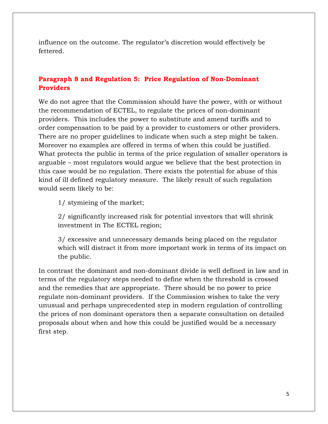influence on the outcome. The regulator's discretion would effectively be fettered.

## **Paragraph 8 and Regulation 5: Price Regulation of Non-Dominant Providers**

We do not agree that the Commission should have the power, with or without the recommendation of ECTEL, to regulate the prices of non-dominant providers. This includes the power to substitute and amend tariffs and to order compensation to be paid by a provider to customers or other providers. There are no proper guidelines to indicate when such a step might be taken. Moreover no examples are offered in terms of when this could be justified. What protects the public in terms of the price regulation of smaller operators is arguable – most regulators would argue we believe that the best protection in this case would be no regulation. There exists the potential for abuse of this kind of ill defined regulatory measure. The likely result of such regulation would seem likely to be:

1/ stymieing of the market;

2/ significantly increased risk for potential investors that will shrink investment in The ECTEL region;

3/ excessive and unnecessary demands being placed on the regulator which will distract it from more important work in terms of its impact on the public.

In contrast the dominant and non-dominant divide is well defined in law and in terms of the regulatory steps needed to define when the threshold is crossed and the remedies that are appropriate. There should be no power to price regulate non-dominant providers. If the Commission wishes to take the very unusual and perhaps unprecedented step in modern regulation of controlling the prices of non dominant operators then a separate consultation on detailed proposals about when and how this could be justified would be a necessary first step.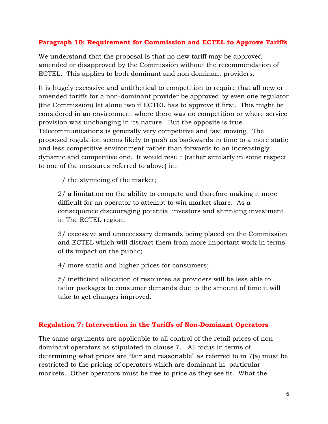## **Paragraph 10: Requirement for Commission and ECTEL to Approve Tariffs**

We understand that the proposal is that no new tariff may be approved amended or disapproved by the Commission without the recommendation of ECTEL. This applies to both dominant and non dominant providers.

It is hugely excessive and antithetical to competition to require that all new or amended tariffs for a non-dominant provider be approved by even one regulator (the Commission) let alone two if ECTEL has to approve it first. This might be considered in an environment where there was no competition or where service provision was unchanging in its nature. But the opposite is true. Telecommunications is generally very competitive and fast moving. The proposed regulation seems likely to push us backwards in time to a more static and less competitive environment rather than forwards to an increasingly dynamic and competitive one. It would result (rather similarly in some respect to one of the measures referred to above) in:

1/ the stymieing of the market;

2/ a limitation on the ability to compete and therefore making it more difficult for an operator to attempt to win market share. As a consequence discouraging potential investors and shrinking investment in The ECTEL region;

3/ excessive and unnecessary demands being placed on the Commission and ECTEL which will distract them from more important work in terms of its impact on the public;

4/ more static and higher prices for consumers;

5/ inefficient allocation of resources as providers will be less able to tailor packages to consumer demands due to the amount of time it will take to get changes improved.

## **Regulation 7: Intervention in the Tariffs of Non-Dominant Operators**

The same arguments are applicable to all control of the retail prices of nondominant operators as stipulated in clause 7. All focus in terms of determining what prices are "fair and reasonable" as referred to in 7(a) must be restricted to the pricing of operators which are dominant in particular markets. Other operators must be free to price as they see fit. What the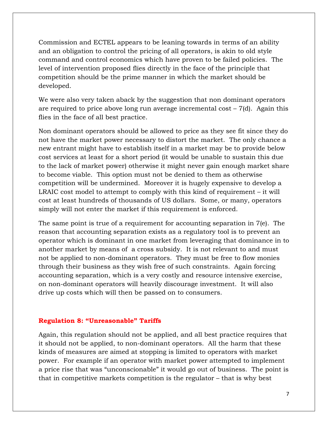Commission and ECTEL appears to be leaning towards in terms of an ability and an obligation to control the pricing of all operators, is akin to old style command and control economics which have proven to be failed policies. The level of intervention proposed flies directly in the face of the principle that competition should be the prime manner in which the market should be developed.

We were also very taken aback by the suggestion that non dominant operators are required to price above long run average incremental cost  $-7(d)$ . Again this flies in the face of all best practice.

Non dominant operators should be allowed to price as they see fit since they do not have the market power necessary to distort the market. The only chance a new entrant might have to establish itself in a market may be to provide below cost services at least for a short period (it would be unable to sustain this due to the lack of market power) otherwise it might never gain enough market share to become viable. This option must not be denied to them as otherwise competition will be undermined. Moreover it is hugely expensive to develop a LRAIC cost model to attempt to comply with this kind of requirement – it will cost at least hundreds of thousands of US dollars. Some, or many, operators simply will not enter the market if this requirement is enforced.

The same point is true of a requirement for accounting separation in  $7(e)$ . The reason that accounting separation exists as a regulatory tool is to prevent an operator which is dominant in one market from leveraging that dominance in to another market by means of a cross subsidy. It is not relevant to and must not be applied to non-dominant operators. They must be free to flow monies through their business as they wish free of such constraints. Again forcing accounting separation, which is a very costly and resource intensive exercise, on non-dominant operators will heavily discourage investment. It will also drive up costs which will then be passed on to consumers.

#### **Regulation 8: "Unreasonable" Tariffs**

Again, this regulation should not be applied, and all best practice requires that it should not be applied, to non-dominant operators. All the harm that these kinds of measures are aimed at stopping is limited to operators with market power. For example if an operator with market power attempted to implement a price rise that was "unconscionable" it would go out of business. The point is that in competitive markets competition is the regulator – that is why best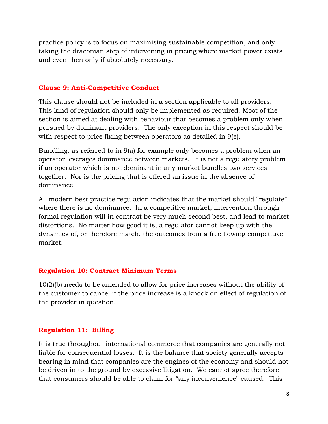practice policy is to focus on maximising sustainable competition, and only taking the draconian step of intervening in pricing where market power exists and even then only if absolutely necessary.

#### **Clause 9: Anti-Competitive Conduct**

This clause should not be included in a section applicable to all providers. This kind of regulation should only be implemented as required. Most of the section is aimed at dealing with behaviour that becomes a problem only when pursued by dominant providers. The only exception in this respect should be with respect to price fixing between operators as detailed in 9(e).

Bundling, as referred to in 9(a) for example only becomes a problem when an operator leverages dominance between markets. It is not a regulatory problem if an operator which is not dominant in any market bundles two services together. Nor is the pricing that is offered an issue in the absence of dominance.

All modern best practice regulation indicates that the market should "regulate" where there is no dominance. In a competitive market, intervention through formal regulation will in contrast be very much second best, and lead to market distortions. No matter how good it is, a regulator cannot keep up with the dynamics of, or therefore match, the outcomes from a free flowing competitive market.

#### **Regulation 10: Contract Minimum Terms**

10(2)(b) needs to be amended to allow for price increases without the ability of the customer to cancel if the price increase is a knock on effect of regulation of the provider in question.

### **Regulation 11: Billing**

It is true throughout international commerce that companies are generally not liable for consequential losses. It is the balance that society generally accepts bearing in mind that companies are the engines of the economy and should not be driven in to the ground by excessive litigation. We cannot agree therefore that consumers should be able to claim for "any inconvenience" caused. This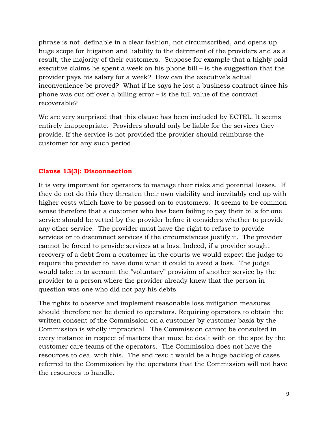phrase is not definable in a clear fashion, not circumscribed, and opens up huge scope for litigation and liability to the detriment of the providers and as a result, the majority of their customers. Suppose for example that a highly paid executive claims he spent a week on his phone bill – is the suggestion that the provider pays his salary for a week? How can the executive's actual inconvenience be proved? What if he says he lost a business contract since his phone was cut off over a billing error – is the full value of the contract recoverable?

We are very surprised that this clause has been included by ECTEL. It seems entirely inappropriate. Providers should only be liable for the services they provide. If the service is not provided the provider should reimburse the customer for any such period.

#### **Clause 13(3): Disconnection**

It is very important for operators to manage their risks and potential losses. If they do not do this they threaten their own viability and inevitably end up with higher costs which have to be passed on to customers. It seems to be common sense therefore that a customer who has been failing to pay their bills for one service should be vetted by the provider before it considers whether to provide any other service. The provider must have the right to refuse to provide services or to disconnect services if the circumstances justify it. The provider cannot be forced to provide services at a loss. Indeed, if a provider sought recovery of a debt from a customer in the courts we would expect the judge to require the provider to have done what it could to avoid a loss. The judge would take in to account the "voluntary" provision of another service by the provider to a person where the provider already knew that the person in question was one who did not pay his debts.

The rights to observe and implement reasonable loss mitigation measures should therefore not be denied to operators. Requiring operators to obtain the written consent of the Commission on a customer by customer basis by the Commission is wholly impractical. The Commission cannot be consulted in every instance in respect of matters that must be dealt with on the spot by the customer care teams of the operators. The Commission does not have the resources to deal with this. The end result would be a huge backlog of cases referred to the Commission by the operators that the Commission will not have the resources to handle.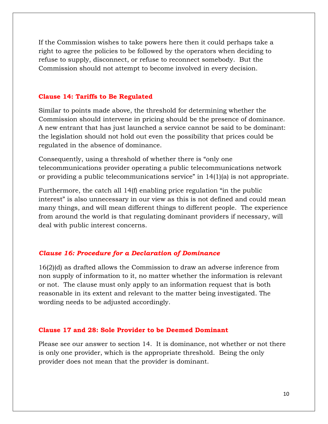If the Commission wishes to take powers here then it could perhaps take a right to agree the policies to be followed by the operators when deciding to refuse to supply, disconnect, or refuse to reconnect somebody. But the Commission should not attempt to become involved in every decision.

#### **Clause 14: Tariffs to Be Regulated**

Similar to points made above, the threshold for determining whether the Commission should intervene in pricing should be the presence of dominance. A new entrant that has just launched a service cannot be said to be dominant: the legislation should not hold out even the possibility that prices could be regulated in the absence of dominance.

Consequently, using a threshold of whether there is "only one telecommunications provider operating a public telecommunications network or providing a public telecommunications service" in 14(1)(a) is not appropriate.

Furthermore, the catch all 14(f) enabling price regulation "in the public interest" is also unnecessary in our view as this is not defined and could mean many things, and will mean different things to different people. The experience from around the world is that regulating dominant providers if necessary, will deal with public interest concerns.

#### *Clause 16: Procedure for a Declaration of Dominance*

16(2)(d) as drafted allows the Commission to draw an adverse inference from non supply of information to it, no matter whether the information is relevant or not. The clause must only apply to an information request that is both reasonable in its extent and relevant to the matter being investigated. The wording needs to be adjusted accordingly.

### **Clause 17 and 28: Sole Provider to be Deemed Dominant**

Please see our answer to section 14. It is dominance, not whether or not there is only one provider, which is the appropriate threshold. Being the only provider does not mean that the provider is dominant.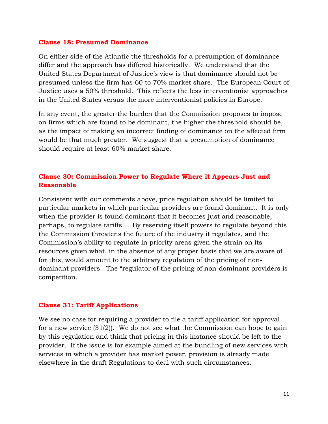### **Clause 18: Presumed Dominance**

On either side of the Atlantic the thresholds for a presumption of dominance differ and the approach has differed historically. We understand that the United States Department of Justice's view is that dominance should not be presumed unless the firm has 60 to 70% market share. The European Court of Justice uses a 50% threshold. This reflects the less interventionist approaches in the United States versus the more interventionist policies in Europe.

In any event, the greater the burden that the Commission proposes to impose on firms which are found to be dominant, the higher the threshold should be, as the impact of making an incorrect finding of dominance on the affected firm would be that much greater. We suggest that a presumption of dominance should require at least 60% market share.

# **Clause 30: Commission Power to Regulate Where it Appears Just and Reasonable**

Consistent with our comments above, price regulation should be limited to particular markets in which particular providers are found dominant. It is only when the provider is found dominant that it becomes just and reasonable, perhaps, to regulate tariffs. By reserving itself powers to regulate beyond this the Commission threatens the future of the industry it regulates, and the Commission's ability to regulate in priority areas given the strain on its resources given what, in the absence of any proper basis that we are aware of for this, would amount to the arbitrary regulation of the pricing of nondominant providers. The "regulator of the pricing of non-dominant providers is competition.

#### **Clause 31: Tariff Applications**

We see no case for requiring a provider to file a tariff application for approval for a new service (31(2)). We do not see what the Commission can hope to gain by this regulation and think that pricing in this instance should be left to the provider. If the issue is for example aimed at the bundling of new services with services in which a provider has market power, provision is already made elsewhere in the draft Regulations to deal with such circumstances.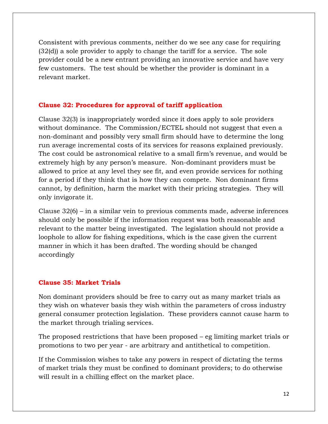Consistent with previous comments, neither do we see any case for requiring (32(d)) a sole provider to apply to change the tariff for a service. The sole provider could be a new entrant providing an innovative service and have very few customers. The test should be whether the provider is dominant in a relevant market.

## **Clause 32: Procedures for approval of tariff application**

Clause 32(3) is inappropriately worded since it does apply to sole providers without dominance. The Commission/ECTEL should not suggest that even a non-dominant and possibly very small firm should have to determine the long run average incremental costs of its services for reasons explained previously. The cost could be astronomical relative to a small firm's revenue, and would be extremely high by any person's measure. Non-dominant providers must be allowed to price at any level they see fit, and even provide services for nothing for a period if they think that is how they can compete. Non dominant firms cannot, by definition, harm the market with their pricing strategies. They will only invigorate it.

Clause 32(6) – in a similar vein to previous comments made, adverse inferences should only be possible if the information request was both reasonable and relevant to the matter being investigated. The legislation should not provide a loophole to allow for fishing expeditions, which is the case given the current manner in which it has been drafted. The wording should be changed accordingly

## **Clause 35: Market Trials**

Non dominant providers should be free to carry out as many market trials as they wish on whatever basis they wish within the parameters of cross industry general consumer protection legislation. These providers cannot cause harm to the market through trialing services.

The proposed restrictions that have been proposed – eg limiting market trials or promotions to two per year - are arbitrary and antithetical to competition.

If the Commission wishes to take any powers in respect of dictating the terms of market trials they must be confined to dominant providers; to do otherwise will result in a chilling effect on the market place.